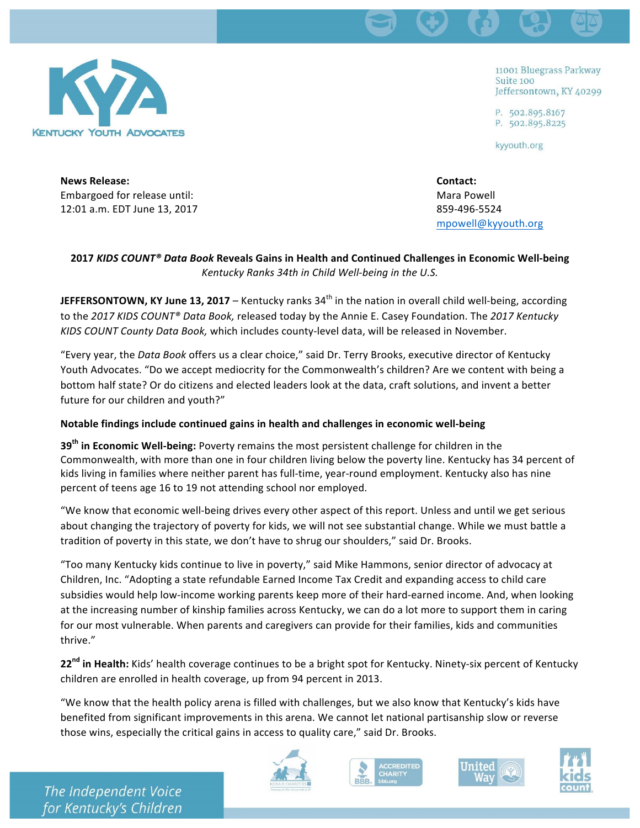

11001 Bluegrass Parkway Suite 100 Jeffersontown, KY 40299

P. 502.895.8167 P. 502.895.8225

kyyouth.org

**News Release: Contact: Contact: Contact: Contact: Contact: Contact: Contact: Contact: Contact: Contact: Contact: Contact: Contact: Contact: Contact: Contact: Contact: Contact: Contact** Embargoed for release until:  $\blacksquare$ 12:01 a.m. EDT June 13, 2017 **859-496-5524** 

mpowell@kyyouth.org

## **2017** *KIDS COUNT® Data Book* **Reveals Gains in Health and Continued Challenges in Economic Well-being** Kentucky Ranks 34th in Child Well-being in the U.S.

**JEFFERSONTOWN, KY June 13, 2017** – Kentucky ranks  $34<sup>th</sup>$  in the nation in overall child well-being, according to the 2017 KIDS COUNT® Data Book, released today by the Annie E. Casey Foundation. The 2017 Kentucky KIDS COUNT County Data Book, which includes county-level data, will be released in November.

"Every year, the *Data Book* offers us a clear choice," said Dr. Terry Brooks, executive director of Kentucky Youth Advocates. "Do we accept mediocrity for the Commonwealth's children? Are we content with being a bottom half state? Or do citizens and elected leaders look at the data, craft solutions, and invent a better future for our children and youth?"

# **Notable findings include continued gains in health and challenges in economic well-being**

**39<sup>th</sup> in Economic Well-being:** Poverty remains the most persistent challenge for children in the Commonwealth, with more than one in four children living below the poverty line. Kentucky has 34 percent of kids living in families where neither parent has full-time, year-round employment. Kentucky also has nine percent of teens age 16 to 19 not attending school nor employed.

"We know that economic well-being drives every other aspect of this report. Unless and until we get serious about changing the trajectory of poverty for kids, we will not see substantial change. While we must battle a tradition of poverty in this state, we don't have to shrug our shoulders," said Dr. Brooks.

"Too many Kentucky kids continue to live in poverty," said Mike Hammons, senior director of advocacy at Children, Inc. "Adopting a state refundable Earned Income Tax Credit and expanding access to child care subsidies would help low-income working parents keep more of their hard-earned income. And, when looking at the increasing number of kinship families across Kentucky, we can do a lot more to support them in caring for our most vulnerable. When parents and caregivers can provide for their families, kids and communities thrive." 

22<sup>nd</sup> in Health: Kids' health coverage continues to be a bright spot for Kentucky. Ninety-six percent of Kentucky children are enrolled in health coverage, up from 94 percent in 2013.

"We know that the health policy arena is filled with challenges, but we also know that Kentucky's kids have benefited from significant improvements in this arena. We cannot let national partisanship slow or reverse those wins, especially the critical gains in access to quality care," said Dr. Brooks.







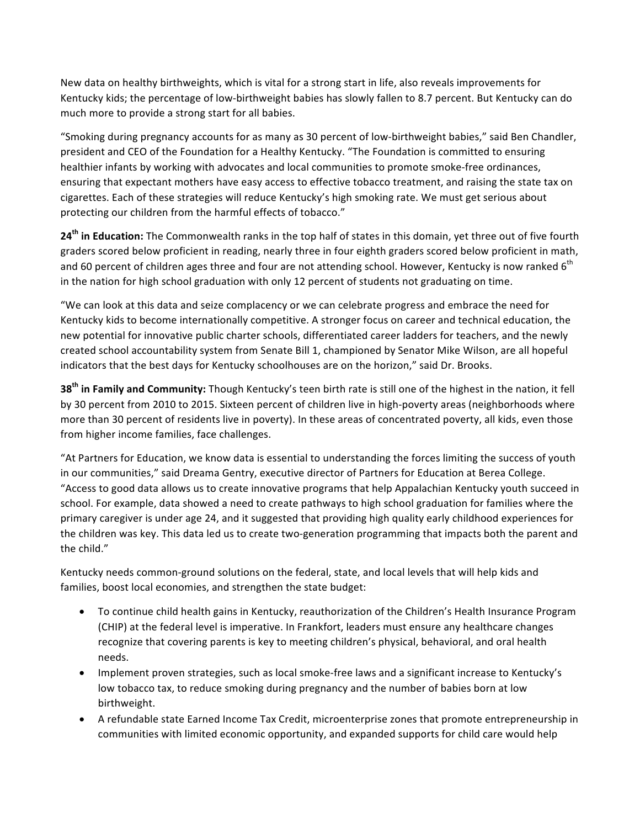New data on healthy birthweights, which is vital for a strong start in life, also reveals improvements for Kentucky kids; the percentage of low-birthweight babies has slowly fallen to 8.7 percent. But Kentucky can do much more to provide a strong start for all babies.

"Smoking during pregnancy accounts for as many as 30 percent of low-birthweight babies," said Ben Chandler, president and CEO of the Foundation for a Healthy Kentucky. "The Foundation is committed to ensuring healthier infants by working with advocates and local communities to promote smoke-free ordinances, ensuring that expectant mothers have easy access to effective tobacco treatment, and raising the state tax on cigarettes. Each of these strategies will reduce Kentucky's high smoking rate. We must get serious about protecting our children from the harmful effects of tobacco."

**24<sup>th</sup> in Education:** The Commonwealth ranks in the top half of states in this domain, yet three out of five fourth graders scored below proficient in reading, nearly three in four eighth graders scored below proficient in math, and 60 percent of children ages three and four are not attending school. However, Kentucky is now ranked  $6<sup>th</sup>$ in the nation for high school graduation with only 12 percent of students not graduating on time.

"We can look at this data and seize complacency or we can celebrate progress and embrace the need for Kentucky kids to become internationally competitive. A stronger focus on career and technical education, the new potential for innovative public charter schools, differentiated career ladders for teachers, and the newly created school accountability system from Senate Bill 1, championed by Senator Mike Wilson, are all hopeful indicators that the best days for Kentucky schoolhouses are on the horizon," said Dr. Brooks.

**38<sup>th</sup> in Family and Community:** Though Kentucky's teen birth rate is still one of the highest in the nation, it fell by 30 percent from 2010 to 2015. Sixteen percent of children live in high-poverty areas (neighborhoods where more than 30 percent of residents live in poverty). In these areas of concentrated poverty, all kids, even those from higher income families, face challenges.

"At Partners for Education, we know data is essential to understanding the forces limiting the success of youth in our communities," said Dreama Gentry, executive director of Partners for Education at Berea College. "Access to good data allows us to create innovative programs that help Appalachian Kentucky youth succeed in school. For example, data showed a need to create pathways to high school graduation for families where the primary caregiver is under age 24, and it suggested that providing high quality early childhood experiences for the children was key. This data led us to create two-generation programming that impacts both the parent and the child."

Kentucky needs common-ground solutions on the federal, state, and local levels that will help kids and families, boost local economies, and strengthen the state budget:

- To continue child health gains in Kentucky, reauthorization of the Children's Health Insurance Program (CHIP) at the federal level is imperative. In Frankfort, leaders must ensure any healthcare changes recognize that covering parents is key to meeting children's physical, behavioral, and oral health needs.
- Implement proven strategies, such as local smoke-free laws and a significant increase to Kentucky's low tobacco tax, to reduce smoking during pregnancy and the number of babies born at low birthweight.
- A refundable state Earned Income Tax Credit, microenterprise zones that promote entrepreneurship in communities with limited economic opportunity, and expanded supports for child care would help